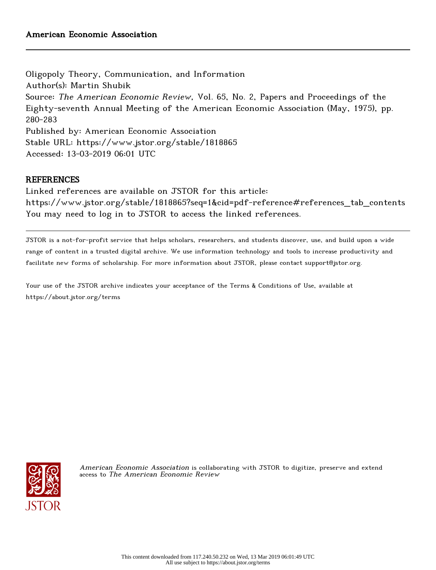Oligopoly Theory, Communication, and Information Author(s): Martin Shubik Source: The American Economic Review, Vol. 65, No. 2, Papers and Proceedings of the Eighty-seventh Annual Meeting of the American Economic Association (May, 1975), pp. 280-283 Published by: American Economic Association Stable URL: https://www.jstor.org/stable/1818865 Accessed: 13-03-2019 06:01 UTC

## **REFERENCES**

Linked references are available on JSTOR for this article: https://www.jstor.org/stable/1818865?seq=1&cid=pdf-reference#references\_tab\_contents You may need to log in to JSTOR to access the linked references.

JSTOR is a not-for-profit service that helps scholars, researchers, and students discover, use, and build upon a wide range of content in a trusted digital archive. We use information technology and tools to increase productivity and facilitate new forms of scholarship. For more information about JSTOR, please contact support@jstor.org.

Your use of the JSTOR archive indicates your acceptance of the Terms & Conditions of Use, available at https://about.jstor.org/terms



American Economic Association is collaborating with JSTOR to digitize, preserve and extend access to The American Economic Review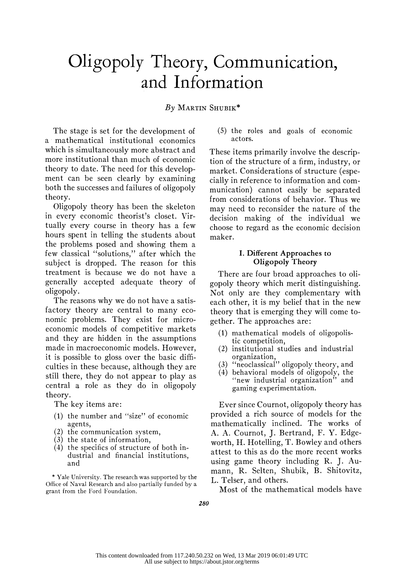# Oligopoly Theory, Communication, and Information

### By MARTIN SHUBIK\*

 The stage is set for the development of a mathematical institutional economics which is simultaneously more abstract and more institutional than much of economic theory to date. The need for this develop ment can be seen clearly by examining both the successes and failures of oligopoly theory.

 Oligopoly theory has been the skeleton in every economic theorist's closet. Vir tually every course in theory has a few hours spent in telling the students about the problems posed and showing them a few classical "solutions," after which the subject is dropped. The reason for this treatment is because we do not have a generally accepted adequate theory of oligopoly.

 The reasons why we do not have a satis factory theory are central to many eco nomic problems. They exist for micro economic models of competitive markets and they are hidden in the assumptions made in macroeconomic models. However, it is possible to gloss over the basic diffi culties in these because, although they are still there, they do not appear to play as central a role as they do in oligopoly theory.

The key items are:

- (1) the number and "size" of economic agents,
- (2) the communication system,
- (3) the state of information,
- (4) the specifics of structure of both in dustrial and financial institutions, and

 \* Yale University. The research was supported by the Office of Naval Research and also partially funded by a grant from the Ford Foundation.

 (5) the roles and goals of economic actors.

 These items primarily involve the descrip tion of the structure of a firm, industry, or market. Considerations of structure (espe cially in reference to information and com munication) cannot easily be separated from considerations of behavior. Thus we may need to reconsider the nature of the decision making of the individual we choose to regard as the economic decision maker.

#### I. Different Approaches to Oligopoly Theory

 There are four broad approaches to oli gopoly theory which merit distinguishing. Not only are they complementary with each other, it is my belief that in the new theory that is emerging they will come to gether. The approaches are:

- (1) mathematical models of oligopolis tic competition,
- (2) institutional studies and industrial organization,
- (3) "neoclassical" oligopoly theory, and
- (4) behavioral models of oligopolv, the "new industrial organization" and gaming experimentation.

 Ever since Cournot, oligopoly theory has provided a rich source of models for the mathematically inclined. The works of A. A. Cournot, J. Bertrand, F. Y. Edge worth, H. Hotelling, T. Bowley and others attest to this as do the more recent works using game theory including R. J. Au mann, R. Selten, Shubik, B. Shitovitz, L. Telser, and others.

Most of the mathematical models have

280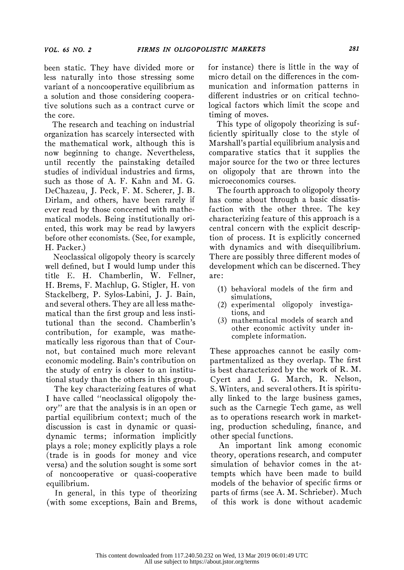been static. They have divided more or less naturally into those stressing some variant of a noncooperative equilibrium as a solution and those considering coopera tive solutions such as a contract curve or the core.

 The research and teaching on industrial organization has scarcely intersected with the mathematical work, although this is now beginning to change. Nevertheless, until recently the painstaking detailed studies of individual industries and firms, such as those of A. F. Kahn and M. G. DeChazeau, J. Peck, F. M. Scherer, J. B. Dirlam, and others, have been rarely if ever read by those concerned with mathe matical models. Being institutionally ori ented, this work may be read by lawyers before other economists. (See, for example, H. Packer.)

 Neoclassical oligopoly theory is scarcely well defined, but I would lump under this title E. H. Chamberlin, W. Fellner, H. Brems, F. Machlup, G. Stigler, H. von Stackelberg, P. Sylos-Labini, J. J. Bain, and several others. They are all less mathe matical than the first group and less insti tutional than the second. Chamberlin's contribution, for example, was mathe matically less rigorous than that of Cour not, but contained much more relevant economic modeling. Bain's contribution on the study of entry is closer to an institu tional study than the others in this group.

 The key characterizing features of what I have called "neoclassical oligopoly the ory" are that the analysis is in an open or partial equilibrium context; much of the discussion is cast in dynamic or quasi dynamic terms; information implicitly plays a role; money explicitly plays a role (trade is in goods for money and vice versa) and the solution sought is some sort of noncooperative or quasi-cooperative equilibrium.

 In general, in this type of theorizing (with some exceptions, Bain and Brems,  for instance) there is little in the way of micro detail on the differences in the com munication and information patterns in different industries or on critical techno logical factors which limit the scope and timing of moves.

 This type of oligopoly theorizing is suf ficiently spiritually close to the style of Marshall's partial equilibrium analysis and comparative statics that it supplies the major source for the two or three lectures on oligopoly that are thrown into the microeconomics courses.

 The fourth approach to oligopoly theory has come about through a basic dissatis faction with the other three. The key characterizing feature of this approach is a central concern with the explicit descrip tion of process. It is explicitly concerned with dynamics and with disequilibrium. There are possibly three different modes of development which can be discerned. They are:

- (1) behavioral models of the firm and simulations,
- (2) experimental oligopoly investiga tions, and
- (3) mathematical models of search and other economic activity under in complete information.

 These approaches cannot be easily com partmentalized as they overlap. The first is best characterized by the work of R. M. Cyert and J. G. March, R. Nelson, S. Winters, and several others. It is spiritu ally linked to the large business games, such as the Carnegie Tech game, as well as to operations research work in market ing, production scheduling, finance, and other special functions.

 An important link among economic theory, operations research, and computer simulation of behavior comes in the at tempts which have been made to build models of the behavior of specific firms or parts of firms (see A. M. Schrieber). Much of this work is done without academic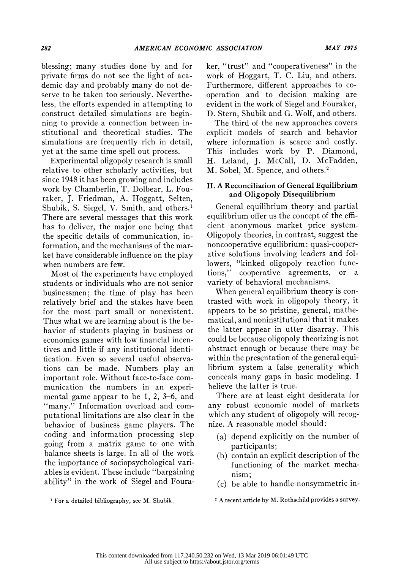blessing; many studies done by and for private firms do not see the light of aca demic day and probably many do not de serve to be taken too seriously. Neverthe less, the efforts expended in attempting to construct detailed simulations are begin ning to provide a connection between in stitutional and theoretical studies. The simulations are frequently rich in detail. yet at the same time spell out process.

 Experimental oligopoly research is small relative to other scholarly activities, but since 1948 it has been growing and includes work by Chamberlin, T. Dolbear, L. Fou raker, J. Friedman, A. Hoggatt, Selten, Shubik, S. Siegel, V. Smith, and others.' There are several messages that this work has to deliver, the major one being that the specific details of communication, in formation, and the mechanisms of the mar ket have considerable influence on the play when numbers are few.

 Most of the experiments have employed students or individuals who are not senior businessmen; the time of play has been relatively brief and the stakes have been for the most part small or nonexistent. Thus what we are learning about is the be havior of students playing in business or economics games with low financial incen tives and little if any institutional identi fication. Even so several useful observa tions can be made. Numbers play an important role. Without face-to-face com munication the numbers in an experi mental game appear to be 1, 2, 3-6, and "many." Information overload and com putational limitations are also clear in the behavior of business game players. The coding and information processing step going from a matrix game to one with balance sheets is large. In all of the work the importance of sociopsychological vari ables is evident. These include "bargaining ability" in the work of Siegel and Fouraker, "trust" and "cooperativeness" in the work of Hoggart, T. C. Liu, and others. Furthermore, different approaches to co operation and to decision making are evident in the work of Siegel and Fouraker, D. Stern, Shubik and G. Wolf, and others.

 The third of the new approaches covers explicit models of search and behavior where information is scarce and costly. This includes work by P. Diamond, H. Leland, J. McCall, D. McFadden, M. Sobel, M. Spence, and others.2

#### II. A Reconciliation of General Equilibrium and Oligopoly Disequilibrium

 General equilibrium theory and partial equilibrium offer us the concept of the effi cient anonymous market price system. Oligopoly theories, in contrast, suggest the noncooperative equilibrium: quasi-cooper ative solutions involving leaders and fol lowers, "kinked oligopoly reaction func tions" cooperative agreements, or a variety of behavioral mechanisms.

 When general equilibrium theory is con trasted with work in oligopoly theory, it appears to be so pristine, general, mathe matical, and noninstitutional that it makes the latter appear in utter disarray. This could be because oligopoly theorizing is not abstract enough or because there may be within the presentation of the general equi librium system a false generality which conceals many gaps in basic modeling. I believe the latter is true.

 There are at least eight desiderata for any robust economic model of markets which any student of oligopoly will recog nize. A reasonable model should:

- (a) depend explicitly on the number of participants;
- (b) contain an explicit description of the functioning of the market mecha nism;
- (c) be able to handle nonsymmetric in-

<sup>&</sup>lt;sup>1</sup> For a detailed bibliography, see M. Shubik. <sup>2</sup> A recent article by M. Rothschild provides a survey.